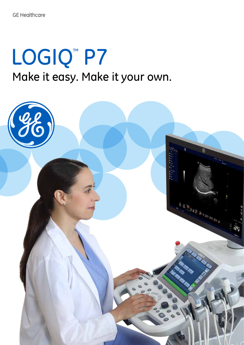# LOGIQ<sup>™</sup> P7 Make it easy. Make it your own.

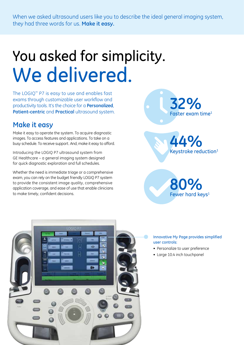When we asked ultrasound users like you to describe the ideal general imaging system, they had three words for us. **Make it easy.**

## You asked for simplicity. We delivered.

The LOGIQ™ P7 is easy to use and enables fast exams through customizable user workflow and productivity tools. It's the choice for a **Personalized**, **Patient-centric** and **Practical** ultrasound system.

## **Make it easy**

Make it easy to operate the system. To acquire diagnostic images. To access features and applications. To take on a busy schedule. To receive support. And, make it easy to afford.

Introducing the LOGIQ P7 ultrasound system from GE Healthcare – a general imaging system designed for quick diagnostic exploration and full schedules.

Whether the need is immediate triage or a comprehensive exam, you can rely on the budget friendly LOGIQ P7 system to provide the consistent image quality, comprehensive application coverage, and ease of use that enable clinicians to make timely, confident decisions.



Keystroke reduction 1 **44%**



#### Innovative My Page provides simplified user controls:

- Personalize to user preference
- Large 10.4 inch touchpanel

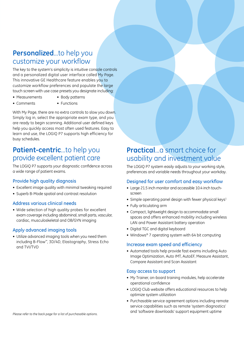## **Personalized**...to help you customize your workflow

The key to the system's simplicity is intuitive console controls and a personalized digital user interface called My Page. This innovative GE Healthcare feature enables you to customize workflow preferences and populate the large touch screen with use case presets you designate including:

- Measurements Body patterns
	-
- Comments Functions
	-

With My Page, there are no extra controls to slow you down. Simply log in, select the appropriate exam type, and you are ready to begin scanning. Additional user defined keys help you quickly access most often used features. Easy to learn and use, the LOGIQ P7 supports high efficiency for busy schedules.

## **Patient-centric**...to help you provide excellent patient care

The LOGIQ P7 supports your diagnostic confidence across a wide range of patient exams.

### Provide high quality diagnosis

- Excellent image quality with minimal tweaking required
- Superb B-Mode spatial and contrast resolution

### Address various clinical needs

• Wide selection of high quality probes for excellent exam coverage including abdominal, small parts, vascular, cardiac, musculoskeletal and OB/GYN imaging

### Apply advanced imaging tools

• Utilize advanced imaging tools when you need them including B-Flow™, 3D/4D, Elastography, Stress Echo and TVI/TVD

## **Practical...a** smart choice for usability and investment value

The LOGIQ P7 system easily adjusts to your working style, preferences and variable needs throughout your workday.

### Designed for user comfort and easy workflow

- Large 21.5 inch monitor and accessible 10.4 inch touchscreen
- Simple operating panel design with fewer physical keys $1$
- Fully articulating arm
- Compact, lightweight design to accommodate small spaces and offers enhanced mobility including wireless LAN and Power Assistant battery operation
- Digital TGC and digital keyboard
- Windows® 7 operating system with 64 bit computing

#### Increase exam speed and efficiency

• Automated tools help provide fast exams including Auto Image Optimization, Auto IMT, AutoEF, Measure Assistant, Compare Assistant and Scan Assistant

#### Easy access to support

- My Trainer, on-board training modules, help accelerate operational confidence
- LOGIQ Club website offers educational resources to help optimize system utilization
- Purchasable service agreement options including remote service capabilities such as remote 'system diagnostics' and 'software downloads' support equipment uptime *Please refer to the back page for a list of purchasable options.*